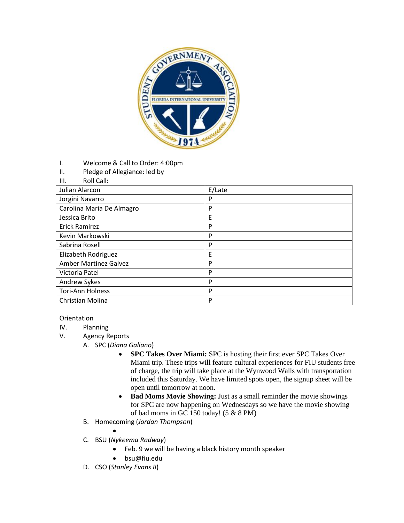

- I. Welcome & Call to Order: 4:00pm
- II. Pledge of Allegiance: led by
- III. Roll Call:

| Julian Alarcon               | E/Late |
|------------------------------|--------|
| Jorgini Navarro              | P      |
| Carolina Maria De Almagro    | P      |
| Jessica Brito                | E      |
| <b>Erick Ramirez</b>         | P      |
| Kevin Markowski              | P      |
| Sabrina Rosell               | P      |
| Elizabeth Rodriguez          | Ε      |
| <b>Amber Martinez Galvez</b> | P      |
| Victoria Patel               | P      |
| Andrew Sykes                 | P      |
| <b>Tori-Ann Holness</b>      | P      |
| Christian Molina             | P      |

## Orientation

- IV. Planning
- V. Agency Reports
	- A. SPC (*Diana Galiano*)
		- **SPC Takes Over Miami:** SPC is hosting their first ever SPC Takes Over Miami trip. These trips will feature cultural experiences for FIU students free of charge, the trip will take place at the Wynwood Walls with transportation included this Saturday. We have limited spots open, the signup sheet will be open until tomorrow at noon.
		- Bad Moms Movie Showing: Just as a small reminder the movie showings for SPC are now happening on Wednesdays so we have the movie showing of bad moms in GC 150 today! (5 & 8 PM)
	- B. Homecoming (*Jordan Thompson*)
		- $\bullet$
	- C. BSU (*Nykeema Radway*)
		- Feb. 9 we will be having a black history month speaker
		- bsu@fiu.edu
	- D. CSO (*Stanley Evans II*)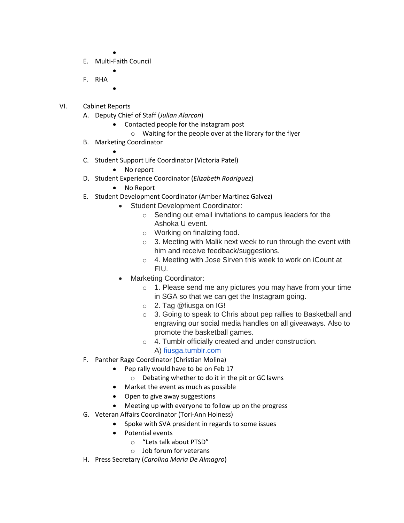$\bullet$ 

 $\bullet$ 

- E. Multi-Faith Council
- F. RHA
	- $\bullet$
- VI. Cabinet Reports
	- A. Deputy Chief of Staff (*Julian Alarcon*)
		- Contacted people for the instagram post
			- o Waiting for the people over at the library for the flyer
	- B. Marketing Coordinator
		- $\bullet$
	- C. Student Support Life Coordinator (Victoria Patel)
		- No report
	- D. Student Experience Coordinator (*Elizabeth Rodriguez*)
		- No Report
	- E. Student Development Coordinator (Amber Martinez Galvez)
		- Student Development Coordinator:
			- o Sending out email invitations to campus leaders for the Ashoka U event.
			- o Working on finalizing food.
			- $\circ$  3. Meeting with Malik next week to run through the event with him and receive feedback/suggestions.
			- o 4. Meeting with Jose Sirven this week to work on iCount at FIU.
			- Marketing Coordinator:
				- o 1. Please send me any pictures you may have from your time in SGA so that we can get the Instagram going.
				- o 2. Tag @fiusga on IG!
				- o 3. Going to speak to Chris about pep rallies to Basketball and engraving our social media handles on all giveaways. Also to promote the basketball games.
				- o 4. Tumblr officially created and under construction.
					- A) [fiusga.tumblr.com](http://fiusga.tumblr.com/)
	- F. Panther Rage Coordinator (Christian Molina)
		- Pep rally would have to be on Feb 17
			- o Debating whether to do it in the pit or GC lawns
		- Market the event as much as possible
		- Open to give away suggestions
		- Meeting up with everyone to follow up on the progress
	- G. Veteran Affairs Coordinator (Tori-Ann Holness)
		- Spoke with SVA president in regards to some issues
		- Potential events
			- o "Lets talk about PTSD"
			- o Job forum for veterans
	- H. Press Secretary (*Carolina Maria De Almagro*)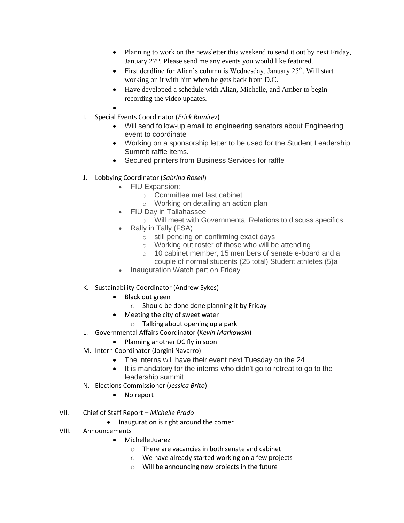- Planning to work on the newsletter this weekend to send it out by next Friday, January  $27<sup>th</sup>$ . Please send me any events you would like featured.
- First deadline for Alian's column is Wednesday, January  $25<sup>th</sup>$ . Will start working on it with him when he gets back from D.C.
- Have developed a schedule with Alian, Michelle, and Amber to begin recording the video updates.

 $\bullet$ 

- I. Special Events Coordinator (*Erick Ramirez*)
	- Will send follow-up email to engineering senators about Engineering event to coordinate
	- Working on a sponsorship letter to be used for the Student Leadership Summit raffle items.
	- Secured printers from Business Services for raffle
- J. Lobbying Coordinator (*Sabrina Rosell*)
	- FIU Expansion:
		- o Committee met last cabinet
		- o Working on detailing an action plan
	- FIU Day in Tallahassee
		- o Will meet with Governmental Relations to discuss specifics
	- Rally in Tally (FSA)
		- o still pending on confirming exact days
		- o Working out roster of those who will be attending
		- o 10 cabinet member, 15 members of senate e-board and a couple of normal students (25 total) Student athletes (5)a
	- Inauguration Watch part on Friday
- K. Sustainability Coordinator (Andrew Sykes)
	- Black out green
		- o Should be done done planning it by Friday
	- Meeting the city of sweet water
		- o Talking about opening up a park
- L. Governmental Affairs Coordinator (*Kevin Markowski*)
	- Planning another DC fly in soon
- M. Intern Coordinator (Jorgini Navarro)
	- The interns will have their event next Tuesday on the 24
	- It is mandatory for the interns who didn't go to retreat to go to the leadership summit
- N. Elections Commissioner (*Jessica Brito*)
	- No report
- VII. Chief of Staff Report *Michelle Prado*
	- Inauguration is right around the corner
- VIII. Announcements
	- Michelle Juarez
		- o There are vacancies in both senate and cabinet
		- o We have already started working on a few projects
		- o Will be announcing new projects in the future